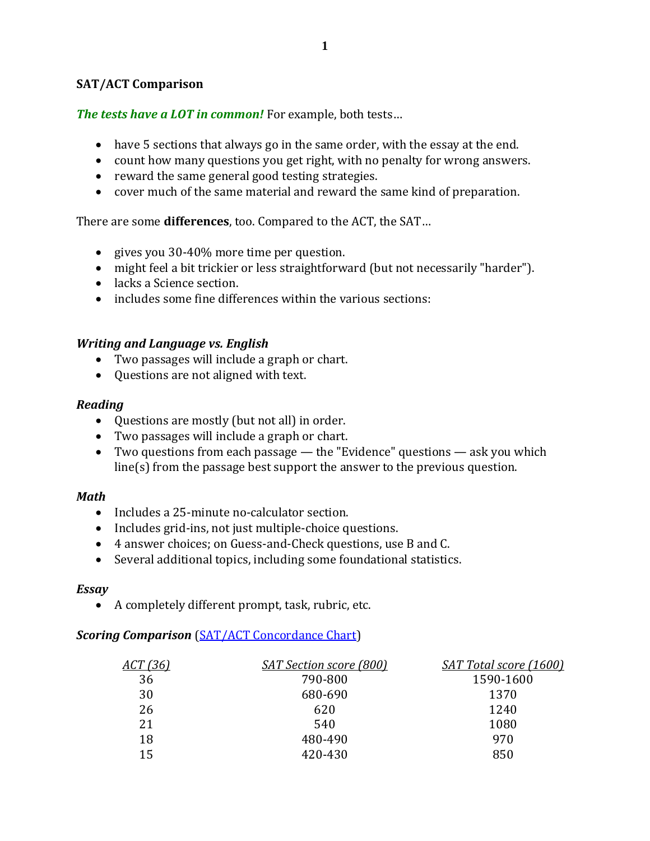## **SAT/ACT Comparison**

*The tests have a LOT in common!* For example, both tests…

- have 5 sections that always go in the same order, with the essay at the end.
- count how many questions you get right, with no penalty for wrong answers.
- reward the same general good testing strategies.
- cover much of the same material and reward the same kind of preparation.

There are some **differences**, too. Compared to the ACT, the SAT…

- gives you 30-40% more time per question.
- might feel a bit trickier or less straightforward (but not necessarily "harder").
- lacks a Science section.
- includes some fine differences within the various sections:

### *Writing and Language vs. English*

- Two passages will include a graph or chart.
- Questions are not aligned with text.

#### *Reading*

- Questions are mostly (but not all) in order.
- Two passages will include a graph or chart.
- Two questions from each passage the "Evidence" questions ask you which line(s) from the passage best support the answer to the previous question.

#### *Math*

- Includes a 25-minute no-calculator section.
- Includes grid-ins, not just multiple-choice questions.
- 4 answer choices; on Guess-and-Check questions, use B and C.
- Several additional topics, including some foundational statistics.

#### *Essay*

• A completely different prompt, task, rubric, etc.

# **Scoring Comparison** [\(SAT/ACT Concordance Chart\)](http://www.baytutoring.com/uploads/2/5/1/2/25124728/guide_to_the_2018_act%C2%AE-sat%C2%AE_concordance__dragged_.pdf)

| <u>ACT (36)</u> | <b>SAT Section score (800)</b> | <b>SAT Total score (1600)</b> |
|-----------------|--------------------------------|-------------------------------|
| 36              | 790-800                        | 1590-1600                     |
| 30              | 680-690                        | 1370                          |
| 26              | 620                            | 1240                          |
| 21              | 540                            | 1080                          |
| 18              | 480-490                        | 970                           |
| 15              | 420-430                        | 850                           |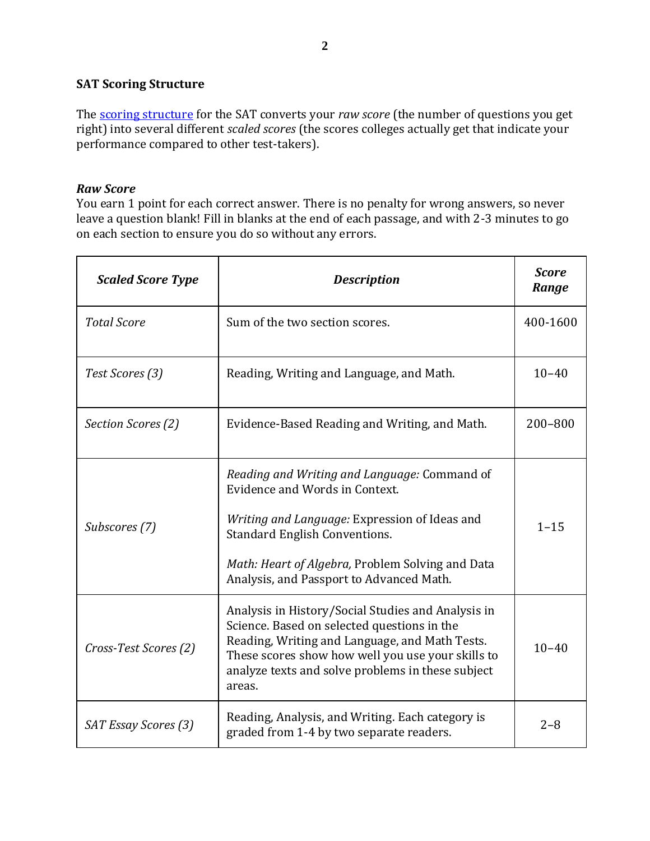# **SAT Scoring Structure**

The [scoring structure](https://collegereadiness.collegeboard.org/sat/scores) for the SAT converts your *raw score* (the number of questions you get right) into several different *scaled scores* (the scores colleges actually get that indicate your performance compared to other test-takers).

### *Raw Score*

You earn 1 point for each correct answer. There is no penalty for wrong answers, so never leave a question blank! Fill in blanks at the end of each passage, and with 2-3 minutes to go on each section to ensure you do so without any errors.

| <b>Scaled Score Type</b> | <b>Description</b>                                                                                                                                                                                                                                                      | <b>Score</b><br>Range |
|--------------------------|-------------------------------------------------------------------------------------------------------------------------------------------------------------------------------------------------------------------------------------------------------------------------|-----------------------|
| <b>Total Score</b>       | Sum of the two section scores.                                                                                                                                                                                                                                          | 400-1600              |
| Test Scores (3)          | Reading, Writing and Language, and Math.                                                                                                                                                                                                                                | $10 - 40$             |
| Section Scores (2)       | Evidence-Based Reading and Writing, and Math.                                                                                                                                                                                                                           | 200-800               |
| Subscores (7)            | Reading and Writing and Language: Command of<br>Evidence and Words in Context.<br>Writing and Language: Expression of Ideas and<br><b>Standard English Conventions.</b><br>Math: Heart of Algebra, Problem Solving and Data<br>Analysis, and Passport to Advanced Math. | $1 - 15$              |
| Cross-Test Scores (2)    | Analysis in History/Social Studies and Analysis in<br>Science. Based on selected questions in the<br>Reading, Writing and Language, and Math Tests.<br>These scores show how well you use your skills to<br>analyze texts and solve problems in these subject<br>areas. | $10 - 40$             |
| SAT Essay Scores (3)     | Reading, Analysis, and Writing. Each category is<br>graded from 1-4 by two separate readers.                                                                                                                                                                            | $2 - 8$               |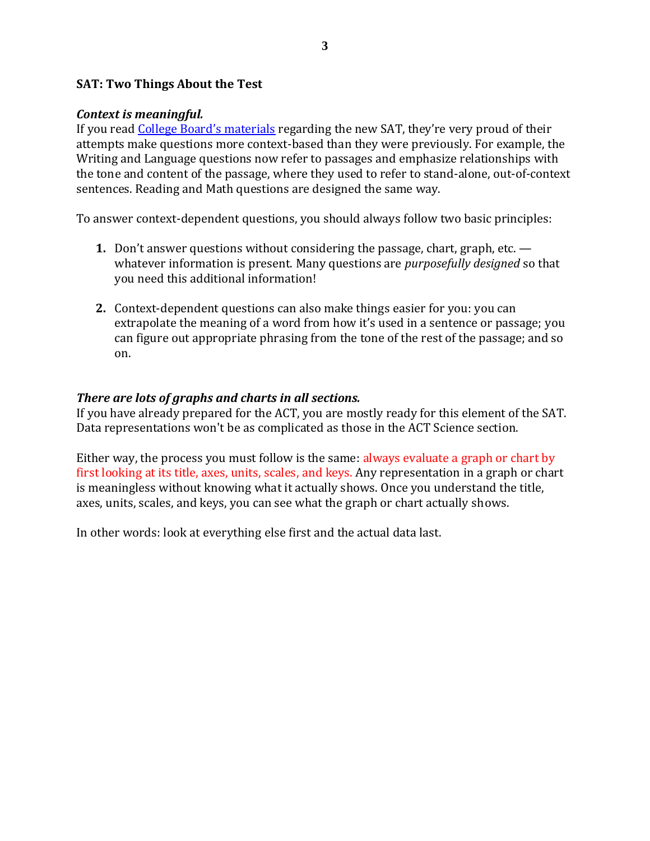### **SAT: Two Things About the Test**

#### *Context is meaningful.*

If you read [College Board's materials](https://collegereadiness.collegeboard.org/sat/inside-the-test/key-features) regarding the new SAT, they're very proud of their attempts make questions more context-based than they were previously. For example, the Writing and Language questions now refer to passages and emphasize relationships with the tone and content of the passage, where they used to refer to stand-alone, out-of-context sentences. Reading and Math questions are designed the same way.

To answer context-dependent questions, you should always follow two basic principles:

- **1.** Don't answer questions without considering the passage, chart, graph, etc. whatever information is present. Many questions are *purposefully designed* so that you need this additional information!
- **2.** Context-dependent questions can also make things easier for you: you can extrapolate the meaning of a word from how it's used in a sentence or passage; you can figure out appropriate phrasing from the tone of the rest of the passage; and so on.

### *There are lots of graphs and charts in all sections.*

If you have already prepared for the ACT, you are mostly ready for this element of the SAT. Data representations won't be as complicated as those in the ACT Science section.

Either way, the process you must follow is the same: always evaluate a graph or chart by first looking at its title, axes, units, scales, and keys. Any representation in a graph or chart is meaningless without knowing what it actually shows. Once you understand the title, axes, units, scales, and keys, you can see what the graph or chart actually shows.

In other words: look at everything else first and the actual data last.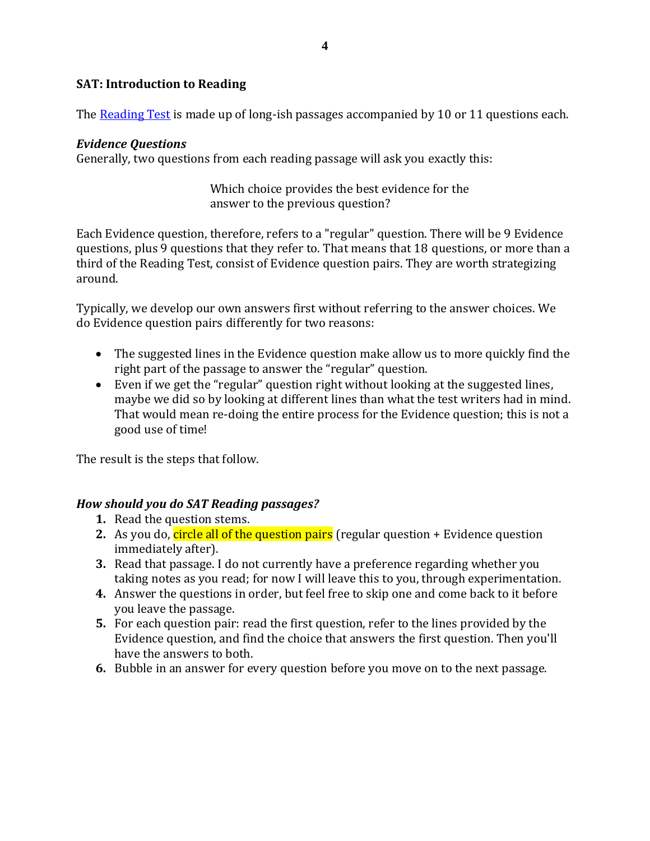# **SAT: Introduction to Reading**

The [Reading Test](https://collegereadiness.collegeboard.org/sat/inside-the-test/reading) is made up of long-ish passages accompanied by 10 or 11 questions each.

# *Evidence Questions*

Generally, two questions from each reading passage will ask you exactly this:

# Which choice provides the best evidence for the answer to the previous question?

Each Evidence question, therefore, refers to a "regular" question. There will be 9 Evidence questions, plus 9 questions that they refer to. That means that 18 questions, or more than a third of the Reading Test, consist of Evidence question pairs. They are worth strategizing around.

Typically, we develop our own answers first without referring to the answer choices. We do Evidence question pairs differently for two reasons:

- The suggested lines in the Evidence question make allow us to more quickly find the right part of the passage to answer the "regular" question.
- Even if we get the "regular" question right without looking at the suggested lines, maybe we did so by looking at different lines than what the test writers had in mind. That would mean re-doing the entire process for the Evidence question; this is not a good use of time!

The result is the steps that follow.

# *How should you do SAT Reading passages?*

- **1.** Read the question stems.
- **2.** As you do, circle all of the question pairs (regular question + Evidence question immediately after).
- **3.** Read that passage. I do not currently have a preference regarding whether you taking notes as you read; for now I will leave this to you, through experimentation.
- **4.** Answer the questions in order, but feel free to skip one and come back to it before you leave the passage.
- **5.** For each question pair: read the first question, refer to the lines provided by the Evidence question, and find the choice that answers the first question. Then you'll have the answers to both.
- **6.** Bubble in an answer for every question before you move on to the next passage.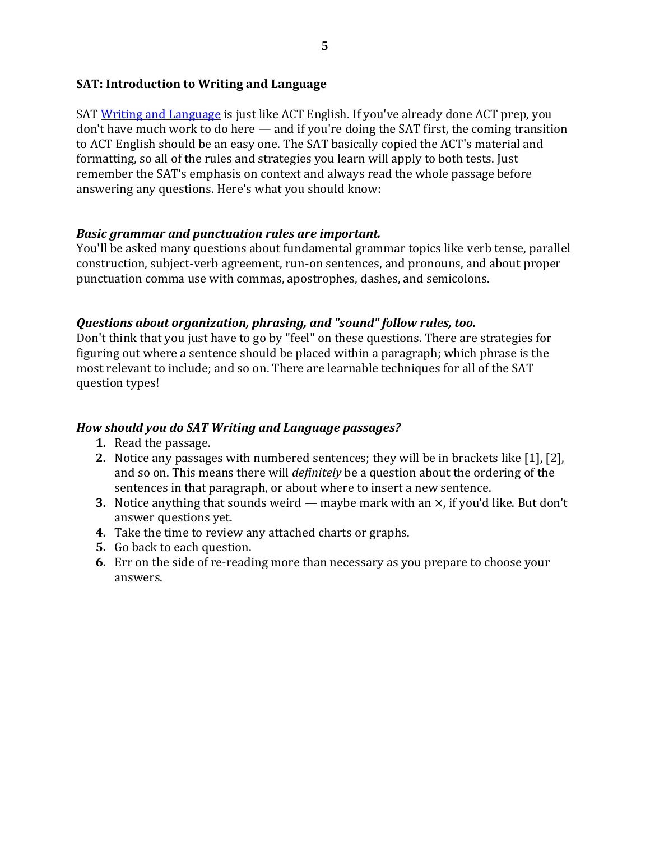# **SAT: Introduction to Writing and Language**

SAT [Writing and Language](https://collegereadiness.collegeboard.org/sat/inside-the-test/writing-language) is just like ACT English. If you've already done ACT prep, you don't have much work to do here — and if you're doing the SAT first, the coming transition to ACT English should be an easy one. The SAT basically copied the ACT's material and formatting, so all of the rules and strategies you learn will apply to both tests. Just remember the SAT's emphasis on context and always read the whole passage before answering any questions. Here's what you should know:

# *Basic grammar and punctuation rules are important.*

You'll be asked many questions about fundamental grammar topics like verb tense, parallel construction, subject-verb agreement, run-on sentences, and pronouns, and about proper punctuation comma use with commas, apostrophes, dashes, and semicolons.

# *Questions about organization, phrasing, and "sound" follow rules, too.*

Don't think that you just have to go by "feel" on these questions. There are strategies for figuring out where a sentence should be placed within a paragraph; which phrase is the most relevant to include; and so on. There are learnable techniques for all of the SAT question types!

# *How should you do SAT Writing and Language passages?*

- **1.** Read the passage.
- **2.** Notice any passages with numbered sentences; they will be in brackets like [1], [2], and so on. This means there will *definitely* be a question about the ordering of the sentences in that paragraph, or about where to insert a new sentence.
- **3.** Notice anything that sounds weird maybe mark with an  $\times$ , if you'd like. But don't answer questions yet.
- **4.** Take the time to review any attached charts or graphs.
- **5.** Go back to each question.
- **6.** Err on the side of re-reading more than necessary as you prepare to choose your answers.